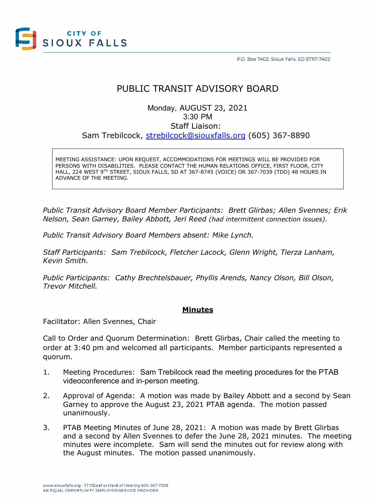

# PUBLIC TRANSIT ADVISORY BOARD

## Monday, AUGUST 23, 2021 3:30 PM Staff Liaison: Sam Trebilcock, [strebilcock@siouxfalls.org](mailto:strebilcock@siouxfalls.org) (605) 367-8890

MEETING ASSISTANCE: UPON REQUEST, ACCOMMODATIONS FOR MEETINGS WILL BE PROVIDED FOR PERSONS WITH DISABILITIES. PLEASE CONTACT THE HUMAN RELATIONS OFFICE, FIRST FLOOR, CITY HALL, 224 WEST 9TH STREET, SIOUX FALLS, SD AT 367-8745 (VOICE) OR 367-7039 (TDD) 48 HOURS IN ADVANCE OF THE MEETING.

*Public Transit Advisory Board Member Participants: Brett Glirbas; Allen Svennes; Erik Nelson, Sean Garney, Bailey Abbott, Jeri Reed (had intermittent connection issues).*

*Public Transit Advisory Board Members absent: Mike Lynch.*

*Staff Participants: Sam Trebilcock, Fletcher Lacock, Glenn Wright, Tierza Lanham, Kevin Smith.*

*Public Participants: Cathy Brechtelsbauer, Phyllis Arends, Nancy Olson, Bill Olson, Trevor Mitchell.*

### **Minutes**

Facilitator: Allen Svennes, Chair

Call to Order and Quorum Determination: Brett Glirbas, Chair called the meeting to order at 3:40 pm and welcomed all participants. Member participants represented a quorum.

- 1. Meeting Procedures: Sam Trebilcock read the meeting procedures for the PTAB videoconference and in-person meeting.
- 2. Approval of Agenda: A motion was made by Bailey Abbott and a second by Sean Garney to approve the August 23, 2021 PTAB agenda. The motion passed unanimously.
- 3. PTAB Meeting Minutes of June 28, 2021: A motion was made by Brett Glirbas and a second by Allen Svennes to defer the June 28, 2021 minutes. The meeting minutes were incomplete. Sam will send the minutes out for review along with the August minutes. The motion passed unanimously.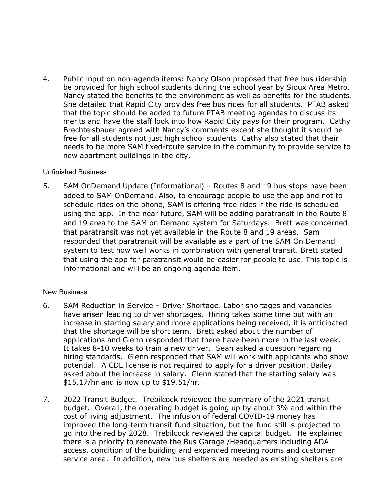4. Public input on non-agenda items: Nancy Olson proposed that free bus ridership be provided for high school students during the school year by Sioux Area Metro. Nancy stated the benefits to the environment as well as benefits for the students. She detailed that Rapid City provides free bus rides for all students. PTAB asked that the topic should be added to future PTAB meeting agendas to discuss its merits and have the staff look into how Rapid City pays for their program. Cathy Brechtelsbauer agreed with Nancy's comments except she thought it should be free for all students not just high school students Cathy also stated that their needs to be more SAM fixed-route service in the community to provide service to new apartment buildings in the city.

### Unfinished Business

5. SAM OnDemand Update (Informational) – Routes 8 and 19 bus stops have been added to SAM OnDemand. Also, to encourage people to use the app and not to schedule rides on the phone, SAM is offering free rides if the ride is scheduled using the app. In the near future, SAM will be adding paratransit in the Route 8 and 19 area to the SAM on Demand system for Saturdays. Brett was concerned that paratransit was not yet available in the Route 8 and 19 areas. Sam responded that paratransit will be available as a part of the SAM On Demand system to test how well works in combination with general transit. Brett stated that using the app for paratransit would be easier for people to use. This topic is informational and will be an ongoing agenda item.

### New Business

- 6. SAM Reduction in Service Driver Shortage. Labor shortages and vacancies have arisen leading to driver shortages. Hiring takes some time but with an increase in starting salary and more applications being received, it is anticipated that the shortage will be short term. Brett asked about the number of applications and Glenn responded that there have been more in the last week. It takes 8-10 weeks to train a new driver. Sean asked a question regarding hiring standards. Glenn responded that SAM will work with applicants who show potential. A CDL license is not required to apply for a driver position. Bailey asked about the increase in salary. Glenn stated that the starting salary was \$15.17/hr and is now up to \$19.51/hr.
- 7. 2022 Transit Budget. Trebilcock reviewed the summary of the 2021 transit budget. Overall, the operating budget is going up by about 3% and within the cost of living adjustment. The infusion of federal COVID-19 money has improved the long-term transit fund situation, but the fund still is projected to go into the red by 2028. Trebilcock reviewed the capital budget. He explained there is a priority to renovate the Bus Garage /Headquarters including ADA access, condition of the building and expanded meeting rooms and customer service area. In addition, new bus shelters are needed as existing shelters are